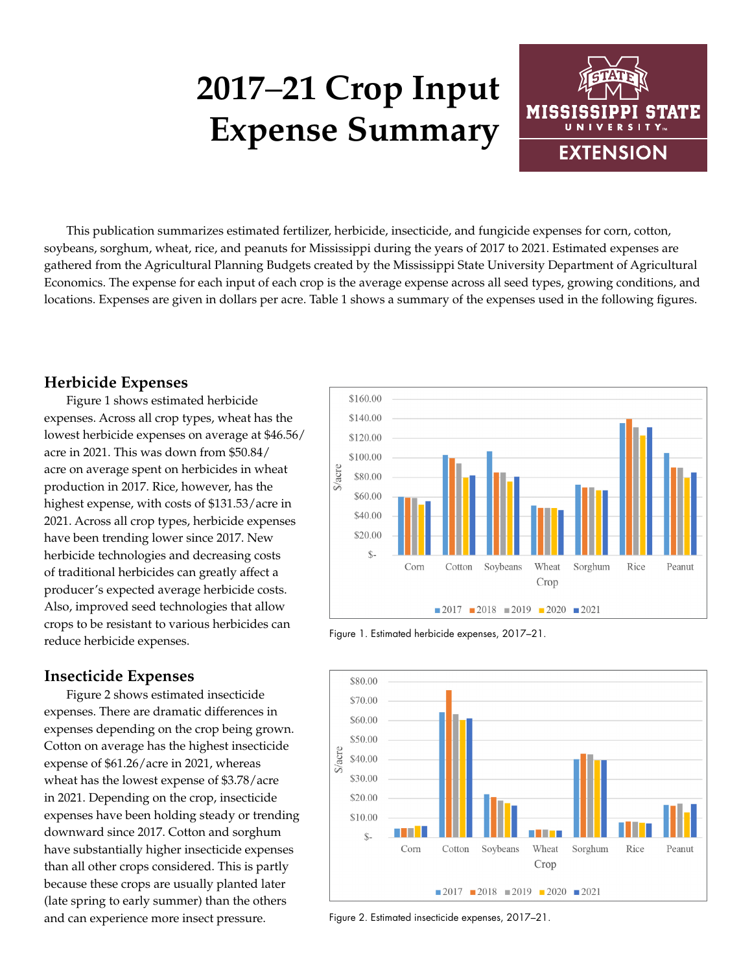# **2017**–**21 Crop Input Expense Summary**



This publication summarizes estimated fertilizer, herbicide, insecticide, and fungicide expenses for corn, cotton, soybeans, sorghum, wheat, rice, and peanuts for Mississippi during the years of 2017 to 2021. Estimated expenses are gathered from the Agricultural Planning Budgets created by the Mississippi State University Department of Agricultural Economics. The expense for each input of each crop is the average expense across all seed types, growing conditions, and locations. Expenses are given in dollars per acre. Table 1 shows a summary of the expenses used in the following figures.

### **Herbicide Expenses**

Figure 1 shows estimated herbicide expenses. Across all crop types, wheat has the lowest herbicide expenses on average at \$46.56/ acre in 2021. This was down from \$50.84/ acre on average spent on herbicides in wheat production in 2017. Rice, however, has the highest expense, with costs of \$131.53/acre in 2021. Across all crop types, herbicide expenses have been trending lower since 2017. New herbicide technologies and decreasing costs of traditional herbicides can greatly affect a producer's expected average herbicide costs. Also, improved seed technologies that allow crops to be resistant to various herbicides can reduce herbicide expenses.

#### **Insecticide Expenses**

Figure 2 shows estimated insecticide expenses. There are dramatic differences in expenses depending on the crop being grown. Cotton on average has the highest insecticide expense of \$61.26/acre in 2021, whereas wheat has the lowest expense of \$3.78/acre in 2021. Depending on the crop, insecticide expenses have been holding steady or trending downward since 2017. Cotton and sorghum have substantially higher insecticide expenses than all other crops considered. This is partly because these crops are usually planted later (late spring to early summer) than the others and can experience more insect pressure.



Figure 1. Estimated herbicide expenses, 2017–21.



Figure 2. Estimated insecticide expenses, 2017–21.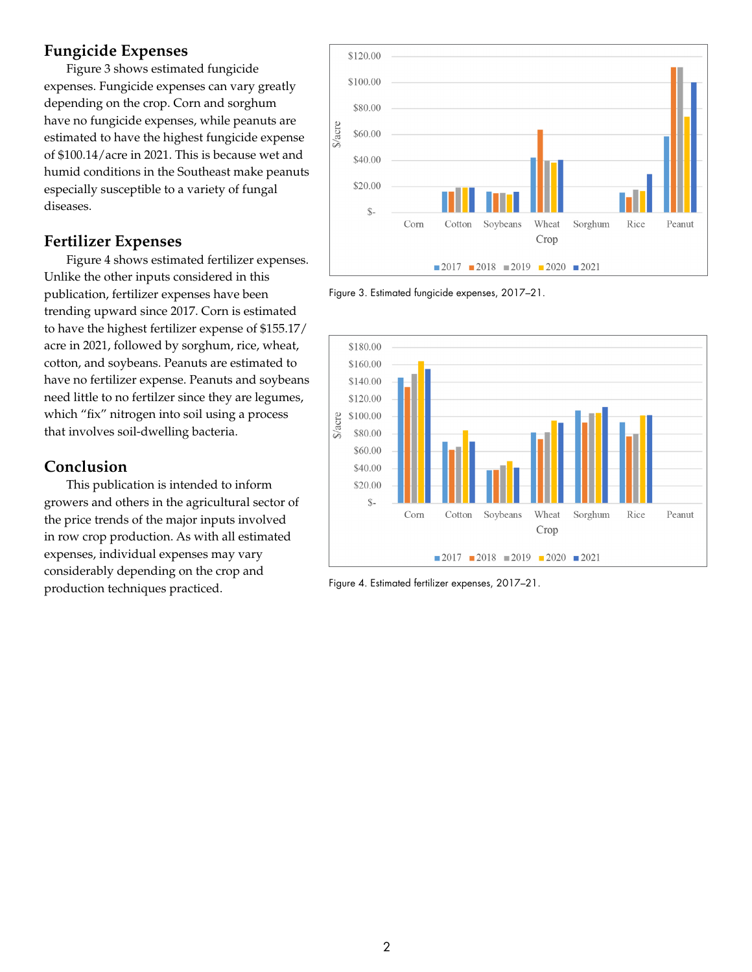### **Fungicide Expenses**

Figure 3 shows estimated fungicide expenses. Fungicide expenses can vary greatly depending on the crop. Corn and sorghum have no fungicide expenses, while peanuts are estimated to have the highest fungicide expense of \$100.14/acre in 2021. This is because wet and humid conditions in the Southeast make peanuts especially susceptible to a variety of fungal diseases.

#### **Fertilizer Expenses**

Figure 4 shows estimated fertilizer expenses. Unlike the other inputs considered in this publication, fertilizer expenses have been trending upward since 2017. Corn is estimated to have the highest fertilizer expense of \$155.17/ acre in 2021, followed by sorghum, rice, wheat, cotton, and soybeans. Peanuts are estimated to have no fertilizer expense. Peanuts and soybeans need little to no fertilzer since they are legumes, which "fix" nitrogen into soil using a process that involves soil-dwelling bacteria.

## **Conclusion**

This publication is intended to inform growers and others in the agricultural sector of the price trends of the major inputs involved in row crop production. As with all estimated expenses, individual expenses may vary considerably depending on the crop and production techniques practiced.



Figure 3. Estimated fungicide expenses, 2017–21.



Figure 4. Estimated fertilizer expenses, 2017–21.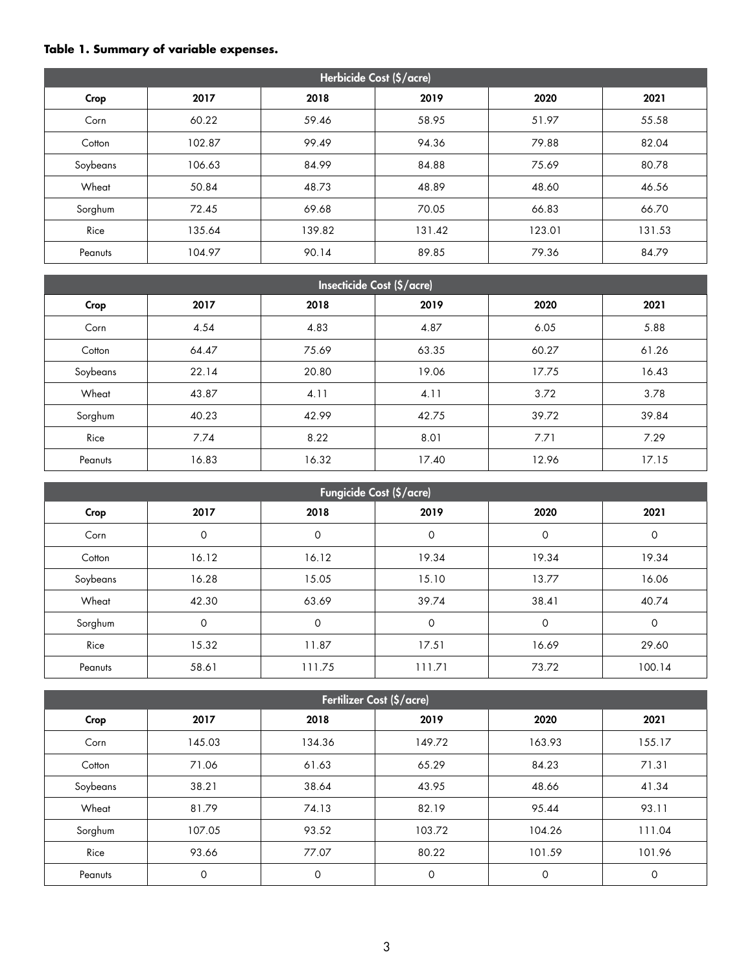#### **Table 1. Summary of variable expenses.**

| Herbicide Cost (\$/acre) |        |        |        |        |        |
|--------------------------|--------|--------|--------|--------|--------|
| Crop                     | 2017   | 2018   | 2019   | 2020   | 2021   |
| Corn                     | 60.22  | 59.46  | 58.95  | 51.97  | 55.58  |
| Cotton                   | 102.87 | 99.49  | 94.36  | 79.88  | 82.04  |
| Soybeans                 | 106.63 | 84.99  | 84.88  | 75.69  | 80.78  |
| Wheat                    | 50.84  | 48.73  | 48.89  | 48.60  | 46.56  |
| Sorghum                  | 72.45  | 69.68  | 70.05  | 66.83  | 66.70  |
| Rice                     | 135.64 | 139.82 | 131.42 | 123.01 | 131.53 |
| Peanuts                  | 104.97 | 90.14  | 89.85  | 79.36  | 84.79  |

| <b>Insecticide Cost (\$/acre)</b> |       |       |       |       |       |  |
|-----------------------------------|-------|-------|-------|-------|-------|--|
| Crop                              | 2017  | 2018  | 2019  | 2020  | 2021  |  |
| Corn                              | 4.54  | 4.83  | 4.87  | 6.05  | 5.88  |  |
| Cotton                            | 64.47 | 75.69 | 63.35 | 60.27 | 61.26 |  |
| Soybeans                          | 22.14 | 20.80 | 19.06 | 17.75 | 16.43 |  |
| Wheat                             | 43.87 | 4.11  | 4.11  | 3.72  | 3.78  |  |
| Sorghum                           | 40.23 | 42.99 | 42.75 | 39.72 | 39.84 |  |
| Rice                              | 7.74  | 8.22  | 8.01  | 7.71  | 7.29  |  |
| Peanuts                           | 16.83 | 16.32 | 17.40 | 12.96 | 17.15 |  |

| Fungicide Cost (\$/acre) |             |        |        |       |             |
|--------------------------|-------------|--------|--------|-------|-------------|
| Crop                     | 2017        | 2018   | 2019   | 2020  | 2021        |
| Corn                     | $\mathbf 0$ | 0      | 0      | 0     | $\mathbf 0$ |
| Cotton                   | 16.12       | 16.12  | 19.34  | 19.34 | 19.34       |
| Soybeans                 | 16.28       | 15.05  | 15.10  | 13.77 | 16.06       |
| Wheat                    | 42.30       | 63.69  | 39.74  | 38.41 | 40.74       |
| Sorghum                  | $\mathbf 0$ | 0      | 0      | 0     | $\mathbf 0$ |
| Rice                     | 15.32       | 11.87  | 17.51  | 16.69 | 29.60       |
| Peanuts                  | 58.61       | 111.75 | 111.71 | 73.72 | 100.14      |

| Fertilizer Cost (\$/acre) |        |             |         |        |        |  |
|---------------------------|--------|-------------|---------|--------|--------|--|
| Crop                      | 2017   | 2018        | 2019    | 2020   | 2021   |  |
| Corn                      | 145.03 | 134.36      | 149.72  | 163.93 | 155.17 |  |
| Cotton                    | 71.06  | 61.63       | 65.29   | 84.23  | 71.31  |  |
| Soybeans                  | 38.21  | 38.64       | 43.95   | 48.66  | 41.34  |  |
| Wheat                     | 81.79  | 74.13       | 82.19   | 95.44  | 93.11  |  |
| Sorghum                   | 107.05 | 93.52       | 103.72  | 104.26 | 111.04 |  |
| Rice                      | 93.66  | 77.07       | 80.22   | 101.59 | 101.96 |  |
| Peanuts                   | 0      | $\mathbf 0$ | $\circ$ | 0      | 0      |  |